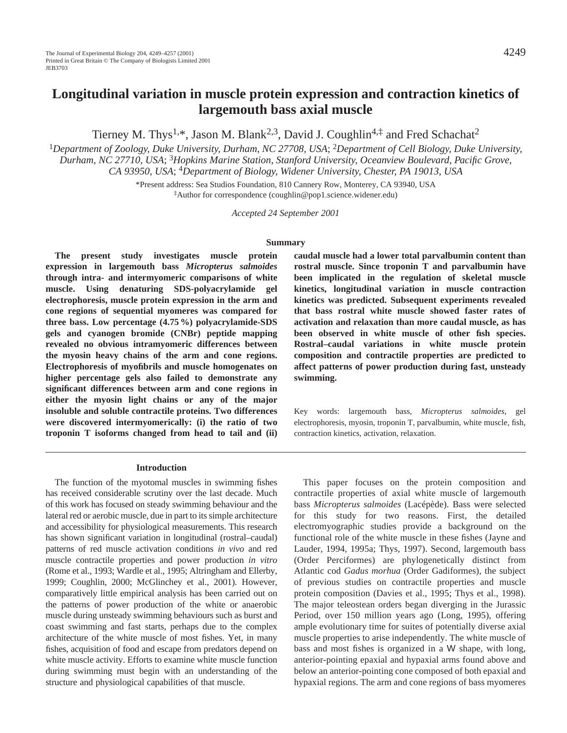# **Longitudinal variation in muscle protein expression and contraction kinetics of largemouth bass axial muscle**

Tierney M. Thys<sup>1,\*</sup>, Jason M. Blank<sup>2,3</sup>, David J. Coughlin<sup>4, $\ddagger$ </sup> and Fred Schachat<sup>2</sup>

<sup>1</sup>*Department of Zoology, Duke University, Durham, NC 27708, USA*; 2*Department of Cell Biology, Duke University, Durham, NC 27710, USA*; 3*Hopkins Marine Station, Stanford University, Oceanview Boulevard, Pacific Grove, CA 93950, USA*; 4*Department of Biology, Widener University, Chester, PA 19013, USA*

> \*Present address: Sea Studios Foundation, 810 Cannery Row, Monterey, CA 93940, USA ‡Author for correspondence (coughlin@pop1.science.widener.edu)

> > *Accepted 24 September 2001*

## **Summary**

**The present study investigates muscle protein expression in largemouth bass** *Micropterus salmoides* **through intra- and intermyomeric comparisons of white muscle. Using denaturing SDS-polyacrylamide gel electrophoresis, muscle protein expression in the arm and cone regions of sequential myomeres was compared for three bass. Low percentage (4.75 %) polyacrylamide-SDS gels and cyanogen bromide (CNBr) peptide mapping revealed no obvious intramyomeric differences between the myosin heavy chains of the arm and cone regions. Electrophoresis of myofibrils and muscle homogenates on higher percentage gels also failed to demonstrate any significant differences between arm and cone regions in either the myosin light chains or any of the major insoluble and soluble contractile proteins. Two differences were discovered intermyomerically: (i) the ratio of two troponin T isoforms changed from head to tail and (ii)**

**caudal muscle had a lower total parvalbumin content than rostral muscle. Since troponin T and parvalbumin have been implicated in the regulation of skeletal muscle kinetics, longitudinal variation in muscle contraction kinetics was predicted. Subsequent experiments revealed that bass rostral white muscle showed faster rates of activation and relaxation than more caudal muscle, as has been observed in white muscle of other fish species. Rostral–caudal variations in white muscle protein composition and contractile properties are predicted to affect patterns of power production during fast, unsteady swimming.** 

Key words: largemouth bass, *Micropterus salmoides*, gel electrophoresis, myosin, troponin T, parvalbumin, white muscle, fish, contraction kinetics, activation, relaxation.

#### **Introduction**

The function of the myotomal muscles in swimming fishes has received considerable scrutiny over the last decade. Much of this work has focused on steady swimming behaviour and the lateral red or aerobic muscle, due in part to its simple architecture and accessibility for physiological measurements. This research has shown significant variation in longitudinal (rostral–caudal) patterns of red muscle activation conditions *in vivo* and red muscle contractile properties and power production *in vitro* (Rome et al., 1993; Wardle et al., 1995; Altringham and Ellerby, 1999; Coughlin, 2000; McGlinchey et al., 2001). However, comparatively little empirical analysis has been carried out on the patterns of power production of the white or anaerobic muscle during unsteady swimming behaviours such as burst and coast swimming and fast starts, perhaps due to the complex architecture of the white muscle of most fishes. Yet, in many fishes, acquisition of food and escape from predators depend on white muscle activity. Efforts to examine white muscle function during swimming must begin with an understanding of the structure and physiological capabilities of that muscle.

This paper focuses on the protein composition and contractile properties of axial white muscle of largemouth bass *Micropterus salmoides* (Lacépède). Bass were selected for this study for two reasons. First, the detailed electromyographic studies provide a background on the functional role of the white muscle in these fishes (Jayne and Lauder, 1994, 1995a; Thys, 1997). Second, largemouth bass (Order Perciformes) are phylogenetically distinct from Atlantic cod *Gadus morhua* (Order Gadiformes)*,* the subject of previous studies on contractile properties and muscle protein composition (Davies et al., 1995; Thys et al., 1998). The major teleostean orders began diverging in the Jurassic Period, over 150 million years ago (Long, 1995), offering ample evolutionary time for suites of potentially diverse axial muscle properties to arise independently. The white muscle of bass and most fishes is organized in a W shape, with long, anterior-pointing epaxial and hypaxial arms found above and below an anterior-pointing cone composed of both epaxial and hypaxial regions. The arm and cone regions of bass myomeres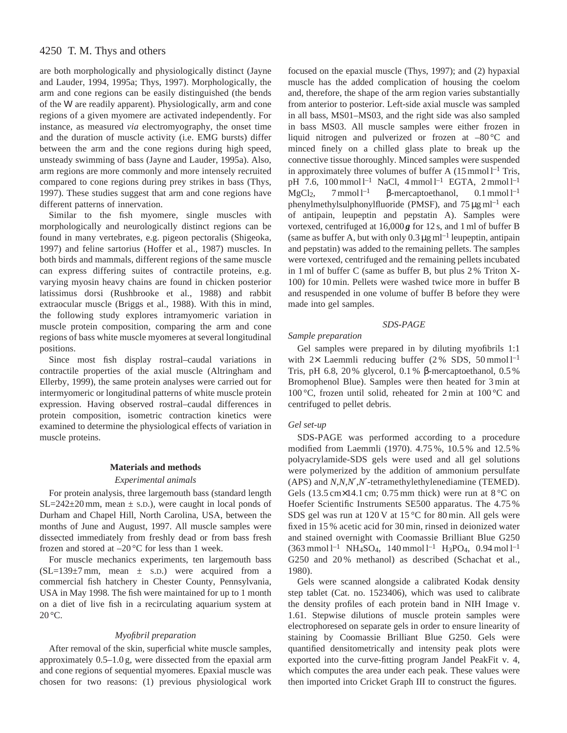# 4250 T. M. Thys and others

are both morphologically and physiologically distinct (Jayne and Lauder, 1994, 1995a; Thys, 1997). Morphologically, the arm and cone regions can be easily distinguished (the bends of the W are readily apparent). Physiologically, arm and cone regions of a given myomere are activated independently. For instance, as measured *via* electromyography, the onset time and the duration of muscle activity (i.e. EMG bursts) differ between the arm and the cone regions during high speed, unsteady swimming of bass (Jayne and Lauder, 1995a). Also, arm regions are more commonly and more intensely recruited compared to cone regions during prey strikes in bass (Thys, 1997). These studies suggest that arm and cone regions have different patterns of innervation.

Similar to the fish myomere, single muscles with morphologically and neurologically distinct regions can be found in many vertebrates, e.g. pigeon pectoralis (Shigeoka, 1997) and feline sartorius (Hoffer et al., 1987) muscles. In both birds and mammals, different regions of the same muscle can express differing suites of contractile proteins, e.g. varying myosin heavy chains are found in chicken posterior latissimus dorsi (Rushbrooke et al., 1988) and rabbit extraocular muscle (Briggs et al., 1988). With this in mind, the following study explores intramyomeric variation in muscle protein composition, comparing the arm and cone regions of bass white muscle myomeres at several longitudinal positions.

Since most fish display rostral–caudal variations in contractile properties of the axial muscle (Altringham and Ellerby, 1999), the same protein analyses were carried out for intermyomeric or longitudinal patterns of white muscle protein expression. Having observed rostral–caudal differences in protein composition, isometric contraction kinetics were examined to determine the physiological effects of variation in muscle proteins.

## **Materials and methods**

## *Experimental animals*

For protein analysis, three largemouth bass (standard length  $SL=242\pm20$  mm, mean  $\pm$  s.D.), were caught in local ponds of Durham and Chapel Hill, North Carolina, USA, between the months of June and August, 1997. All muscle samples were dissected immediately from freshly dead or from bass fresh frozen and stored at  $-20^{\circ}$ C for less than 1 week.

For muscle mechanics experiments, ten largemouth bass  $(SL=139\pm7$  mm, mean  $\pm$  s.D.) were acquired from a commercial fish hatchery in Chester County, Pennsylvania, USA in May 1998. The fish were maintained for up to 1 month on a diet of live fish in a recirculating aquarium system at  $20^{\circ}$ C.

#### *Myofibril preparation*

After removal of the skin, superficial white muscle samples, approximately 0.5–1.0 g, were dissected from the epaxial arm and cone regions of sequential myomeres. Epaxial muscle was chosen for two reasons: (1) previous physiological work

focused on the epaxial muscle (Thys, 1997); and (2) hypaxial muscle has the added complication of housing the coelom and, therefore, the shape of the arm region varies substantially from anterior to posterior. Left-side axial muscle was sampled in all bass, MS01–MS03, and the right side was also sampled in bass MS03. All muscle samples were either frozen in liquid nitrogen and pulverized or frozen at –80 °C and minced finely on a chilled glass plate to break up the connective tissue thoroughly. Minced samples were suspended in approximately three volumes of buffer A  $(15 \text{ mmol } l^{-1} \text{ Tris},$ pH 7.6,  $100 \text{ mmol } 1^{-1}$  NaCl,  $4 \text{ mmol } 1^{-1}$  EGTA,  $2 \text{ mmol } 1^{-1}$ MgCl<sub>2</sub>, 7 mmol l<sup>-1</sup> β-mercaptoethanol, 0.1 mmol l<sup>-1</sup> phenylmethylsulphonylfluoride (PMSF), and  $75 \mu g$  ml<sup>-1</sup> each of antipain, leupeptin and pepstatin A). Samples were vortexed, centrifuged at  $16,000g$  for 12 s, and 1 ml of buffer B (same as buffer A, but with only  $0.3 \,\mu g$  ml<sup>-1</sup> leupeptin, antipain and pepstatin) was added to the remaining pellets. The samples were vortexed, centrifuged and the remaining pellets incubated in 1 ml of buffer C (same as buffer B, but plus 2 % Triton X-100) for 10 min. Pellets were washed twice more in buffer B and resuspended in one volume of buffer B before they were made into gel samples.

## *SDS-PAGE*

## *Sample preparation*

Gel samples were prepared in by diluting myofibrils 1:1 with  $2 \times$  Laemmli reducing buffer (2 % SDS, 50 mmol l<sup>-1</sup> Tris, pH 6.8, 20 % glycerol, 0.1 % β-mercaptoethanol, 0.5 % Bromophenol Blue). Samples were then heated for 3 min at 100 °C, frozen until solid, reheated for 2 min at 100 °C and centrifuged to pellet debris.

#### *Gel set-up*

SDS-PAGE was performed according to a procedure modified from Laemmli (1970). 4.75 %, 10.5 % and 12.5 % polyacrylamide-SDS gels were used and all gel solutions were polymerized by the addition of ammonium persulfate (APS) and *N*,*N*,*N*′,*N*′-tetramethylethylenediamine (TEMED). Gels  $(13.5 \text{ cm} \times 14.1 \text{ cm}; 0.75 \text{ mm}$  thick) were run at  $8^{\circ}$ C on Hoefer Scientific Instruments SE500 apparatus. The 4.75 % SDS gel was run at 120 V at 15 °C for 80 min. All gels were fixed in 15 % acetic acid for 30 min, rinsed in deionized water and stained overnight with Coomassie Brilliant Blue G250  $(363 \text{ mmol }1^{-1} \text{ NH}_4\text{SO}_4, 140 \text{ mmol }1^{-1} \text{ H}_3\text{PO}_4, 0.94 \text{ mol }1^{-1}$ G250 and 20 % methanol) as described (Schachat et al., 1980).

Gels were scanned alongside a calibrated Kodak density step tablet (Cat. no. 1523406), which was used to calibrate the density profiles of each protein band in NIH Image v. 1.61. Stepwise dilutions of muscle protein samples were electrophoresed on separate gels in order to ensure linearity of staining by Coomassie Brilliant Blue G250. Gels were quantified densitometrically and intensity peak plots were exported into the curve-fitting program Jandel PeakFit v. 4, which computes the area under each peak. These values were then imported into Cricket Graph III to construct the figures.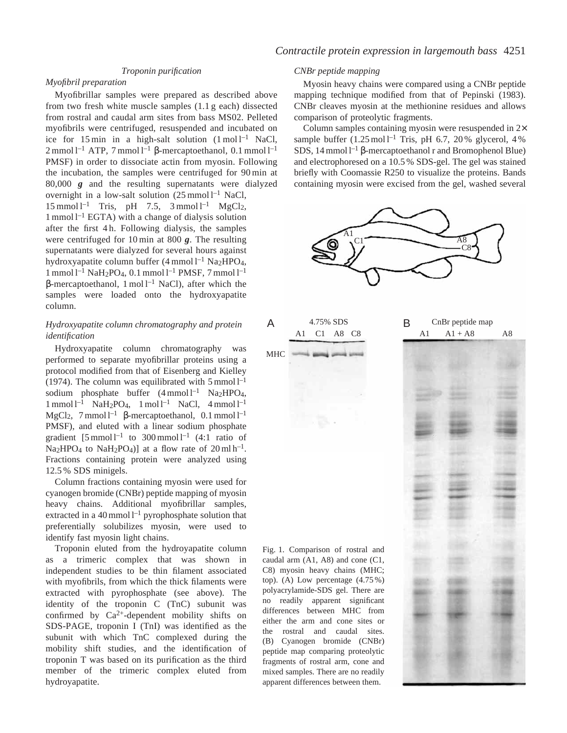## *Troponin purification*

## *Myofibril preparation*

Myofibrillar samples were prepared as described above from two fresh white muscle samples (1.1 g each) dissected from rostral and caudal arm sites from bass MS02. Pelleted myofibrils were centrifuged, resuspended and incubated on ice for 15 min in a high-salt solution  $(1 \text{ mol})^{-1}$  NaCl,  $2 \text{ mmol } 1^{-1}$  ATP, 7 mmol  $1^{-1}$  β-mercaptoethanol, 0.1 mmol  $1^{-1}$ PMSF) in order to dissociate actin from myosin. Following the incubation, the samples were centrifuged for 90 min at 80,000 *g* and the resulting supernatants were dialyzed overnight in a low-salt solution  $(25 \text{ mmol }1^{-1} \text{ NaCl},$  $15 \text{ mmol } 1^{-1}$  Tris, pH 7.5,  $3 \text{ mmol } 1^{-1}$  MgCl<sub>2</sub>,  $1$  mmol  $1^{-1}$  EGTA) with a change of dialysis solution

after the first 4 h. Following dialysis, the samples were centrifuged for 10 min at 800 *g*. The resulting supernatants were dialyzed for several hours against hydroxyapatite column buffer  $(4 \text{ mmol } l^{-1} \text{ Na} \cdot \text{HPO}_4)$ ,  $1$  mmol  $1^{-1}$  NaH<sub>2</sub>PO<sub>4</sub>, 0.1 mmol  $1^{-1}$  PMSF, 7 mmol  $1^{-1}$  $β$ -mercaptoethanol, 1 mol  $l^{-1}$  NaCl), after which the samples were loaded onto the hydroxyapatite column.

## *Hydroxyapatite column chromatography and protein identification*

Hydroxyapatite column chromatography was performed to separate myofibrillar proteins using a protocol modified from that of Eisenberg and Kielley (1974). The column was equilibrated with  $5 \text{ mmol } 1^{-1}$ sodium phosphate buffer  $(4 \text{ mmol } l^{-1}$  Na<sub>2</sub>HPO<sub>4</sub>,  $1$  mmol  $l^{-1}$  NaH<sub>2</sub>PO<sub>4</sub>,  $1$  mol  $l^{-1}$  NaCl,  $4$  mmol  $l^{-1}$ MgCl<sub>2</sub>, 7 mmol l<sup>-1</sup> β-mercaptoethanol, 0.1 mmol l<sup>-1</sup> PMSF), and eluted with a linear sodium phosphate gradient  $[5 \text{ mmol }1^{-1}$  to  $300 \text{ mmol }1^{-1}$  (4:1 ratio of Na<sub>2</sub>HPO<sub>4</sub> to NaH<sub>2</sub>PO<sub>4</sub>)] at a flow rate of  $20 \text{ ml } h^{-1}$ . Fractions containing protein were analyzed using 12.5 % SDS minigels.

Column fractions containing myosin were used for cyanogen bromide (CNBr) peptide mapping of myosin heavy chains. Additional myofibrillar samples, extracted in a 40 mmol  $1^{-1}$  pyrophosphate solution that preferentially solubilizes myosin, were used to identify fast myosin light chains.

Troponin eluted from the hydroyapatite column as a trimeric complex that was shown in independent studies to be thin filament associated with myofibrils, from which the thick filaments were extracted with pyrophosphate (see above). The identity of the troponin C (TnC) subunit was confirmed by  $Ca^{2+}$ -dependent mobility shifts on SDS-PAGE, troponin I (TnI) was identified as the subunit with which TnC complexed during the mobility shift studies, and the identification of troponin T was based on its purification as the third member of the trimeric complex eluted from hydroyapatite.

## *CNBr peptide mapping*

Myosin heavy chains were compared using a CNBr peptide mapping technique modified from that of Pepinski (1983). CNBr cleaves myosin at the methionine residues and allows comparison of proteolytic fragments.

Column samples containing myosin were resuspended in 2× sample buffer  $(1.25 \text{ mol}^{-1}$  Tris, pH 6.7, 20% glycerol, 4% SDS, 14 mmol l<sup>-1</sup> β-mercaptoethanol r and Bromophenol Blue) and electrophoresed on a 10.5 % SDS-gel. The gel was stained briefly with Coomassie R250 to visualize the proteins. Bands containing myosin were excised from the gel, washed several

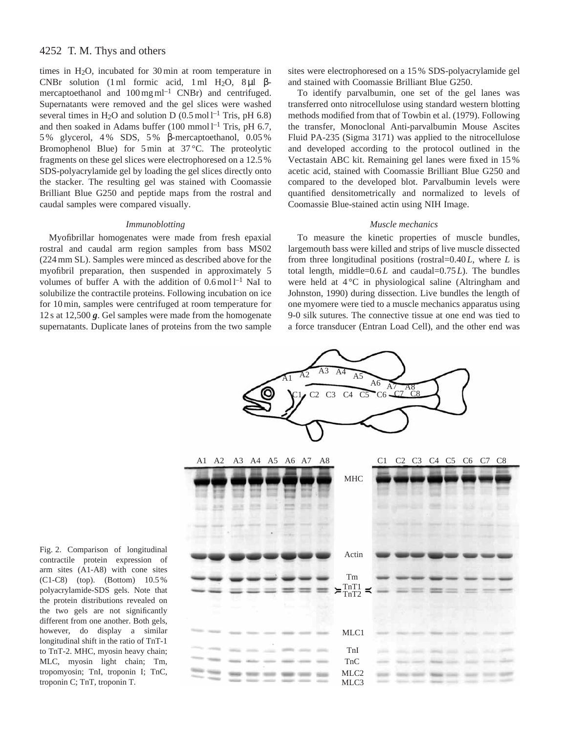# 4252 T. M. Thys and others

times in H2O, incubated for 30 min at room temperature in CNBr solution (1 ml formic acid, 1 ml H<sub>2</sub>O, 8  $\mu$ l βmercaptoethanol and  $100 \,\text{mg}\,\text{ml}^{-1}$  CNBr) and centrifuged. Supernatants were removed and the gel slices were washed several times in H<sub>2</sub>O and solution D (0.5 mol<sup>1-1</sup> Tris, pH 6.8) and then soaked in Adams buffer  $(100 \text{ mmol l}^{-1} \text{ Tris, pH } 6.7,$ 5 % glycerol, 4 % SDS, 5 % β-mercaptoethanol, 0.05 % Bromophenol Blue) for 5 min at 37 °C. The proteolytic fragments on these gel slices were electrophoresed on a 12.5 % SDS-polyacrylamide gel by loading the gel slices directly onto the stacker. The resulting gel was stained with Coomassie Brilliant Blue G250 and peptide maps from the rostral and caudal samples were compared visually.

## *Immunoblotting*

Myofibrillar homogenates were made from fresh epaxial rostral and caudal arm region samples from bass MS02 (224 mm SL). Samples were minced as described above for the myofibril preparation, then suspended in approximately 5 volumes of buffer A with the addition of  $0.6 \text{ mol}$ <sup>1-1</sup> NaI to solubilize the contractile proteins. Following incubation on ice for 10 min, samples were centrifuged at room temperature for 12 s at 12,500 *g*. Gel samples were made from the homogenate supernatants. Duplicate lanes of proteins from the two sample

sites were electrophoresed on a 15 % SDS-polyacrylamide gel and stained with Coomassie Brilliant Blue G250.

To identify parvalbumin, one set of the gel lanes was transferred onto nitrocellulose using standard western blotting methods modified from that of Towbin et al. (1979). Following the transfer, Monoclonal Anti-parvalbumin Mouse Ascites Fluid PA-235 (Sigma 3171) was applied to the nitrocellulose and developed according to the protocol outlined in the Vectastain ABC kit. Remaining gel lanes were fixed in 15 % acetic acid, stained with Coomassie Brilliant Blue G250 and compared to the developed blot. Parvalbumin levels were quantified densitometrically and normalized to levels of Coomassie Blue-stained actin using NIH Image.

#### *Muscle mechanics*

To measure the kinetic properties of muscle bundles, largemouth bass were killed and strips of live muscle dissected from three longitudinal positions (rostral=0.40 *L*, where *L* is total length, middle=0.6 *L* and caudal=0.75 *L*). The bundles were held at 4 °C in physiological saline (Altringham and Johnston, 1990) during dissection. Live bundles the length of one myomere were tied to a muscle mechanics apparatus using 9-0 silk sutures. The connective tissue at one end was tied to a force transducer (Entran Load Cell), and the other end was



Fig. 2. Comparison of longitudinal contractile protein expression of arm sites (A1-A8) with cone sites (C1-C8) (top). (Bottom) 10.5 % polyacrylamide-SDS gels. Note that the protein distributions revealed on the two gels are not significantly different from one another. Both gels, however, do display a similar longitudinal shift in the ratio of TnT-1 to TnT-2. MHC, myosin heavy chain; MLC, myosin light chain; Tm, tropomyosin; TnI, troponin I; TnC, troponin C; TnT, troponin T.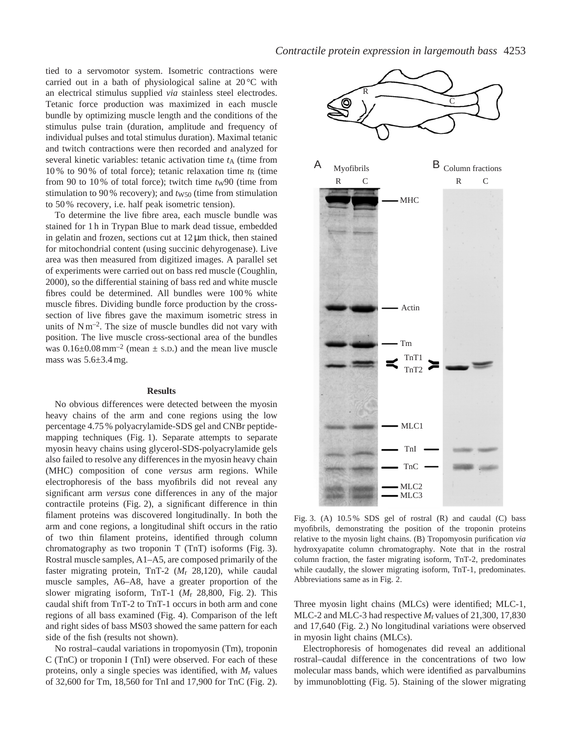tied to a servomotor system. Isometric contractions were carried out in a bath of physiological saline at  $20^{\circ}$ C with an electrical stimulus supplied *via* stainless steel electrodes. Tetanic force production was maximized in each muscle bundle by optimizing muscle length and the conditions of the stimulus pulse train (duration, amplitude and frequency of individual pulses and total stimulus duration). Maximal tetanic and twitch contractions were then recorded and analyzed for several kinetic variables: tetanic activation time  $t_A$  (time from 10% to 90% of total force); tetanic relaxation time  $t<sub>R</sub>$  (time from 90 to 10% of total force); twitch time  $t_{\rm W}$ 90 (time from stimulation to 90% recovery); and  $t_{W50}$  (time from stimulation to 50 % recovery, i.e. half peak isometric tension).

To determine the live fibre area, each muscle bundle was stained for 1 h in Trypan Blue to mark dead tissue, embedded in gelatin and frozen, sections cut at  $12 \mu m$  thick, then stained for mitochondrial content (using succinic dehyrogenase). Live area was then measured from digitized images. A parallel set of experiments were carried out on bass red muscle (Coughlin, 2000), so the differential staining of bass red and white muscle fibres could be determined. All bundles were 100 % white muscle fibres. Dividing bundle force production by the crosssection of live fibres gave the maximum isometric stress in units of  $Nm^{-2}$ . The size of muscle bundles did not vary with position. The live muscle cross-sectional area of the bundles was  $0.16\pm0.08$  mm<sup>-2</sup> (mean  $\pm$  s.D.) and the mean live muscle mass was  $5.6 \pm 3.4$  mg.

## **Results**

No obvious differences were detected between the myosin heavy chains of the arm and cone regions using the low percentage 4.75 % polyacrylamide-SDS gel and CNBr peptidemapping techniques (Fig. 1). Separate attempts to separate myosin heavy chains using glycerol-SDS-polyacrylamide gels also failed to resolve any differences in the myosin heavy chain (MHC) composition of cone *versus* arm regions. While electrophoresis of the bass myofibrils did not reveal any significant arm *versus* cone differences in any of the major contractile proteins (Fig. 2), a significant difference in thin filament proteins was discovered longitudinally. In both the arm and cone regions, a longitudinal shift occurs in the ratio of two thin filament proteins, identified through column chromatography as two troponin T (TnT) isoforms (Fig. 3). Rostral muscle samples, A1–A5, are composed primarily of the faster migrating protein, TnT-2 (*M*r 28,120), while caudal muscle samples, A6–A8, have a greater proportion of the slower migrating isoform, TnT-1 (*M*r 28,800, Fig. 2). This caudal shift from TnT-2 to TnT-1 occurs in both arm and cone regions of all bass examined (Fig. 4). Comparison of the left and right sides of bass MS03 showed the same pattern for each side of the fish (results not shown).

No rostral–caudal variations in tropomyosin (Tm), troponin C (TnC) or troponin I (TnI) were observed. For each of these proteins, only a single species was identified, with *M*r values of 32,600 for Tm, 18,560 for TnI and 17,900 for TnC (Fig. 2).



Fig. 3. (A) 10.5 % SDS gel of rostral (R) and caudal (C) bass myofibrils, demonstrating the position of the troponin proteins relative to the myosin light chains. (B) Tropomyosin purification *via* hydroxyapatite column chromatography. Note that in the rostral column fraction, the faster migrating isoform, TnT-2, predominates while caudally, the slower migrating isoform, TnT-1, predominates. Abbreviations same as in Fig. 2.

Three myosin light chains (MLCs) were identified; MLC-1, MLC-2 and MLC-3 had respective *M*r values of 21,300, 17,830 and 17,640 (Fig. 2.) No longitudinal variations were observed in myosin light chains (MLCs).

Electrophoresis of homogenates did reveal an additional rostral–caudal difference in the concentrations of two low molecular mass bands, which were identified as parvalbumins by immunoblotting (Fig. 5). Staining of the slower migrating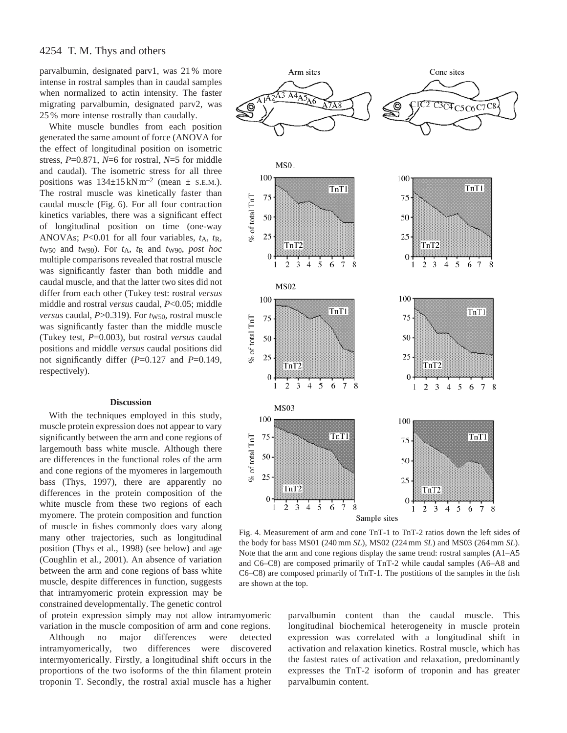parvalbumin, designated parv1, was 21 % more intense in rostral samples than in caudal samples when normalized to actin intensity. The faster migrating parvalbumin, designated parv2, was 25 % more intense rostrally than caudally.

White muscle bundles from each position generated the same amount of force (ANOVA for the effect of longitudinal position on isometric stress, *P*=0.871, *N*=6 for rostral, *N*=5 for middle and caudal). The isometric stress for all three positions was  $134\pm15$  kN m<sup>-2</sup> (mean  $\pm$  s.e.m.). The rostral muscle was kinetically faster than caudal muscle (Fig. 6). For all four contraction kinetics variables, there was a significant effect of longitudinal position on time (one-way ANOVAs; *P*<0.01 for all four variables, *t*A, *t*R, *t*W50 and *t*W90). For *t*A, *t*R and *t*W90, *post hoc* multiple comparisons revealed that rostral muscle was significantly faster than both middle and caudal muscle, and that the latter two sites did not differ from each other (Tukey test: rostral *versus* middle and rostral *versus* caudal, *P*<0.05; middle *versus* caudal, *P*>0.319). For *t*<sub>W50</sub>, rostral muscle was significantly faster than the middle muscle (Tukey test, *P*=0.003), but rostral *versus* caudal positions and middle *versus* caudal positions did not significantly differ (*P*=0.127 and *P*=0.149, respectively).

## **Discussion**

With the techniques employed in this study, muscle protein expression does not appear to vary significantly between the arm and cone regions of largemouth bass white muscle. Although there are differences in the functional roles of the arm and cone regions of the myomeres in largemouth bass (Thys, 1997), there are apparently no differences in the protein composition of the white muscle from these two regions of each myomere. The protein composition and function of muscle in fishes commonly does vary along many other trajectories, such as longitudinal position (Thys et al., 1998) (see below) and age (Coughlin et al., 2001). An absence of variation between the arm and cone regions of bass white muscle, despite differences in function, suggests that intramyomeric protein expression may be constrained developmentally. The genetic control

of protein expression simply may not allow intramyomeric variation in the muscle composition of arm and cone regions.

Although no major differences were detected intramyomerically, two differences were discovered intermyomerically. Firstly, a longitudinal shift occurs in the proportions of the two isoforms of the thin filament protein troponin T. Secondly, the rostral axial muscle has a higher



Fig. 4. Measurement of arm and cone TnT-1 to TnT-2 ratios down the left sides of the body for bass MS01 (240 mm *SL*), MS02 (224 mm *SL*) and MS03 (264 mm *SL*). Note that the arm and cone regions display the same trend: rostral samples (A1–A5 and C6–C8) are composed primarily of TnT-2 while caudal samples (A6–A8 and C6–C8) are composed primarily of TnT-1. The postitions of the samples in the fish are shown at the top.

parvalbumin content than the caudal muscle. This longitudinal biochemical heterogeneity in muscle protein expression was correlated with a longitudinal shift in activation and relaxation kinetics. Rostral muscle, which has the fastest rates of activation and relaxation, predominantly expresses the TnT-2 isoform of troponin and has greater parvalbumin content.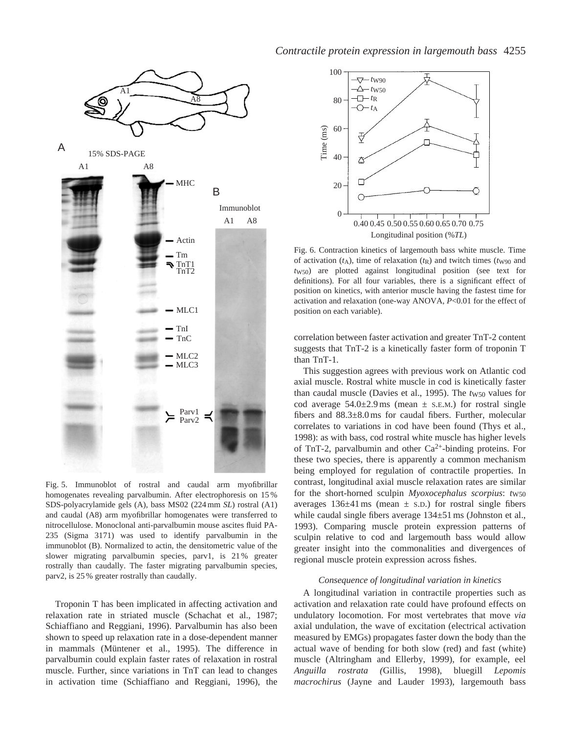

Fig. 5. Immunoblot of rostral and caudal arm myofibrillar homogenates revealing parvalbumin. After electrophoresis on 15 % SDS-polyacrylamide gels (A), bass MS02 (224 mm *SL*) rostral (A1) and caudal (A8) arm myofibrillar homogenates were transferred to nitrocellulose. Monoclonal anti-parvalbumin mouse ascites fluid PA-235 (Sigma 3171) was used to identify parvalbumin in the immunoblot (B). Normalized to actin, the densitometric value of the slower migrating parvalbumin species, parv1, is 21 % greater rostrally than caudally. The faster migrating parvalbumin species, parv2, is 25 % greater rostrally than caudally.

Troponin T has been implicated in affecting activation and relaxation rate in striated muscle (Schachat et al., 1987; Schiaffiano and Reggiani, 1996). Parvalbumin has also been shown to speed up relaxation rate in a dose-dependent manner in mammals (Müntener et al., 1995). The difference in parvalbumin could explain faster rates of relaxation in rostral muscle. Further, since variations in TnT can lead to changes in activation time (Schiaffiano and Reggiani, 1996), the



Fig. 6. Contraction kinetics of largemouth bass white muscle. Time of activation  $(t_A)$ , time of relaxation  $(t_R)$  and twitch times  $(t_{W90})$  and *t*W50) are plotted against longitudinal position (see text for definitions). For all four variables, there is a significant effect of position on kinetics, with anterior muscle having the fastest time for activation and relaxation (one-way ANOVA, *P*<0.01 for the effect of position on each variable).

correlation between faster activation and greater TnT-2 content suggests that TnT-2 is a kinetically faster form of troponin T than TnT-1.

This suggestion agrees with previous work on Atlantic cod axial muscle. Rostral white muscle in cod is kinetically faster than caudal muscle (Davies et al., 1995). The *tw*<sub>50</sub> values for cod average  $54.0 \pm 2.9$  ms (mean  $\pm$  s.e.m.) for rostral single fibers and  $88.3 \pm 8.0$  ms for caudal fibers. Further, molecular correlates to variations in cod have been found (Thys et al., 1998): as with bass, cod rostral white muscle has higher levels of TnT-2, parvalbumin and other  $Ca^{2+}$ -binding proteins. For these two species, there is apparently a common mechanism being employed for regulation of contractile properties. In contrast, longitudinal axial muscle relaxation rates are similar for the short-horned sculpin *Myoxocephalus scorpius*: *tw50* averages  $136\pm41$  ms (mean  $\pm$  s.D.) for rostral single fibers while caudal single fibers average  $134\pm51$  ms (Johnston et al., 1993). Comparing muscle protein expression patterns of sculpin relative to cod and largemouth bass would allow greater insight into the commonalities and divergences of regional muscle protein expression across fishes.

## *Consequence of longitudinal variation in kinetics*

A longitudinal variation in contractile properties such as activation and relaxation rate could have profound effects on undulatory locomotion. For most vertebrates that move *via* axial undulation, the wave of excitation (electrical activation measured by EMGs) propagates faster down the body than the actual wave of bending for both slow (red) and fast (white) muscle (Altringham and Ellerby, 1999), for example, eel *Anguilla rostrata (*Gillis, 1998), bluegill *Lepomis macrochirus* (Jayne and Lauder 1993), largemouth bass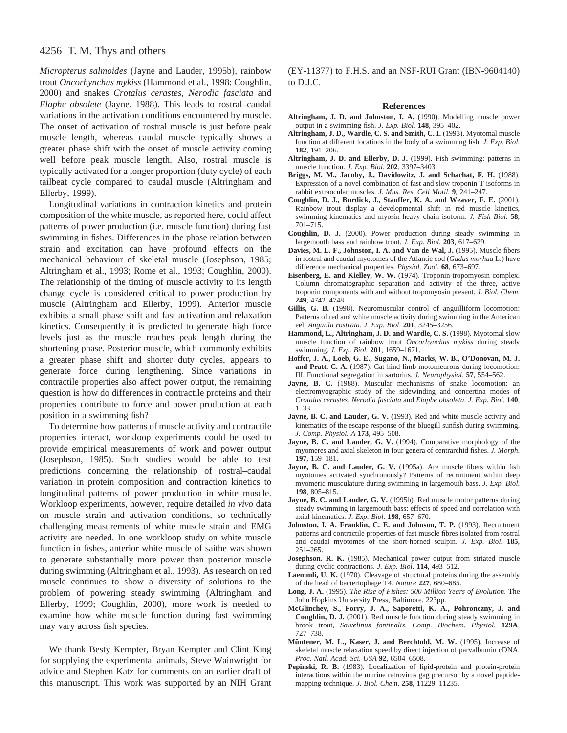# 4256 T. M. Thys and others

*Micropterus salmoides* (Jayne and Lauder, 1995b), rainbow trout *Oncorhynchus mykiss* (Hammond et al., 1998; Coughlin, 2000) and snakes *Crotalus cerastes, Nerodia fasciata* and *Elaphe obsolete* (Jayne, 1988). This leads to rostral–caudal variations in the activation conditions encountered by muscle. The onset of activation of rostral muscle is just before peak muscle length, whereas caudal muscle typically shows a greater phase shift with the onset of muscle activity coming well before peak muscle length. Also, rostral muscle is typically activated for a longer proportion (duty cycle) of each tailbeat cycle compared to caudal muscle (Altringham and Ellerby, 1999).

Longitudinal variations in contraction kinetics and protein composition of the white muscle, as reported here, could affect patterns of power production (i.e. muscle function) during fast swimming in fishes. Differences in the phase relation between strain and excitation can have profound effects on the mechanical behaviour of skeletal muscle (Josephson, 1985; Altringham et al., 1993; Rome et al., 1993; Coughlin, 2000). The relationship of the timing of muscle activity to its length change cycle is considered critical to power production by muscle (Altringham and Ellerby, 1999). Anterior muscle exhibits a small phase shift and fast activation and relaxation kinetics. Consequently it is predicted to generate high force levels just as the muscle reaches peak length during the shortening phase. Posterior muscle, which commonly exhibits a greater phase shift and shorter duty cycles, appears to generate force during lengthening. Since variations in contractile properties also affect power output, the remaining question is how do differences in contractile proteins and their properties contribute to force and power production at each position in a swimming fish?

To determine how patterns of muscle activity and contractile properties interact, workloop experiments could be used to provide empirical measurements of work and power output (Josephson, 1985). Such studies would be able to test predictions concerning the relationship of rostral–caudal variation in protein composition and contraction kinetics to longitudinal patterns of power production in white muscle. Workloop experiments, however, require detailed *in vivo* data on muscle strain and activation conditions, so technically challenging measurements of white muscle strain and EMG activity are needed. In one workloop study on white muscle function in fishes, anterior white muscle of saithe was shown to generate substantially more power than posterior muscle during swimming (Altringham et al., 1993). As research on red muscle continues to show a diversity of solutions to the problem of powering steady swimming (Altringham and Ellerby, 1999; Coughlin, 2000), more work is needed to examine how white muscle function during fast swimming may vary across fish species.

We thank Besty Kempter, Bryan Kempter and Clint King for supplying the experimental animals, Steve Wainwright for advice and Stephen Katz for comments on an earlier draft of this manuscript. This work was supported by an NIH Grant

(EY-11377) to F.H.S. and an NSF-RUI Grant (IBN-9604140) to D.J.C.

#### **References**

- **Altringham, J. D. and Johnston, I. A.** (1990). Modelling muscle power output in a swimming fish. *J. Exp. Biol.* **148**, 395–402.
- **Altringham, J. D., Wardle, C. S. and Smith, C. I.** (1993). Myotomal muscle function at different locations in the body of a swimming fish. *J. Exp. Biol*. **182**, 191–206.
- Altringham, J. D. and Ellerby, D. J. (1999). Fish swimming: patterns in muscle function. *J. Exp. Biol.* **202**, 3397–3403.
- **Briggs, M. M., Jacoby, J., Davidowitz, J. and Schachat, F. H.** (1988). Expression of a novel combination of fast and slow troponin T isoforms in rabbit extraocular muscles. *J. Mus. Res. Cell Motil*. **9**, 241–247.
- **Coughlin, D. J., Burdick, J., Stauffer, K. A. and Weaver, F. E.** (2001). Rainbow trout display a developmental shift in red muscle kinetics, swimming kinematics and myosin heavy chain isoform. *J. Fish Biol.* **58**, 701–715.
- **Coughlin, D. J.** (2000). Power production during steady swimming in largemouth bass and rainbow trout. *J. Exp. Biol.* **203**, 617–629.
- **Davies, M. L. F., Johnston, I. A. and Van de Wal, J.** (1995). Muscle fibers in rostral and caudal myotomes of the Atlantic cod (*Gadus morhua* L.) have difference mechanical properties. *Physiol. Zool*. **68**, 673–697.
- **Eisenberg, E. and Kielley, W. W.** (1974). Troponin-tropomyosin complex. Column chromatographic separation and activity of the three, active troponin components with and without tropomyosin present. *J. Biol. Chem*. **249**, 4742–4748.
- **Gillis, G. B.** (1998). Neuromuscular control of anguilliform locomotion: Patterns of red and white muscle activity during swimming in the American eel, *Anguilla rostrata*. *J. Exp. Biol*. **201**, 3245–3256.
- **Hammond, L., Altringham, J. D. and Wardle, C. S.** (1998). Myotomal slow muscle function of rainbow trout *Oncorhynchus mykiss* during steady swimming. *J. Exp. Biol.* **201**, 1659–1671.
- **Hoffer, J. A., Loeb, G. E., Sugano, N., Marks, W. B., O'Donovan, M. J. and Pratt, C. A.** (1987). Cat hind limb motorneurons during locomotion: III. Functional segregation in sartorius. *J. Neurophysiol*. **57**, 554–562.
- Jayne, B. C. (1988). Muscular mechanisms of snake locomotion: an electromyographic study of the sidewinding and concertina modes of *Crotalus cerastes*, *Nerodia fasciata* and *Elaphe obsoleta*. *J. Exp. Biol*. **140**, 1–33.
- **Jayne, B. C. and Lauder, G. V.** (1993). Red and white muscle activity and kinematics of the escape response of the bluegill sunfish during swimming. *J. Comp. Physiol. A* **173**, 495–508.
- **Jayne, B. C. and Lauder, G. V.** (1994). Comparative morphology of the myomeres and axial skeleton in four genera of centrarchid fishes. *J. Morph*. **197**, 159–181.
- **Jayne, B. C. and Lauder, G. V.** (1995a). Are muscle fibers within fish myotomes activated synchronously? Patterns of recruitment within deep myomeric musculature during swimming in largemouth bass. *J. Exp. Biol*. **198**, 805–815.
- **Jayne, B. C. and Lauder, G. V.** (1995b). Red muscle motor patterns during steady swimming in largemouth bass: effects of speed and correlation with axial kinematics. *J. Exp. Biol.* **198**, 657–670.
- **Johnston, I. A. Franklin, C. E. and Johnson, T. P.** (1993). Recruitment patterns and contractile properties of fast muscle fibres isolated from rostral and caudal myotomes of the short-horned sculpin. *J. Exp. Biol*. **185**, 251–265.
- **Josephson, R. K.** (1985). Mechanical power output from striated muscle during cyclic contractions. *J. Exp. Biol*. **114**, 493–512.
- **Laemmli, U. K.** (1970). Cleavage of structural proteins during the assembly of the head of bacteriophage T4. *Nature* **227**, 680–685.
- **Long, J. A.** (1995). *The Rise of Fishes: 500 Million Years of Evolution*. The John Hopkins University Press, Baltimore. 223pp.
- **McGlinchey, S., Forry, J. A., Saporetti, K. A., Pohronezny, J. and Coughlin, D. J.** (2001). Red muscle function during steady swimming in brook trout, *Salvelinus fontinalis*. *Comp. Biochem. Physiol.* **129A**, 727–738.
- **Müntener, M. L., Kaser, J. and Berchtold, M. W.** (1995). Increase of skeletal muscle relaxation speed by direct injection of parvalbumin cDNA. *Proc. Natl. Acad. Sci. USA* **92**, 6504–6508.
- Pepinski, R. B. (1983). Localization of lipid-protein and protein-protein interactions within the murine retrovirus gag precursor by a novel peptidemapping technique. *J. Biol. Chem*. **258**, 11229–11235.